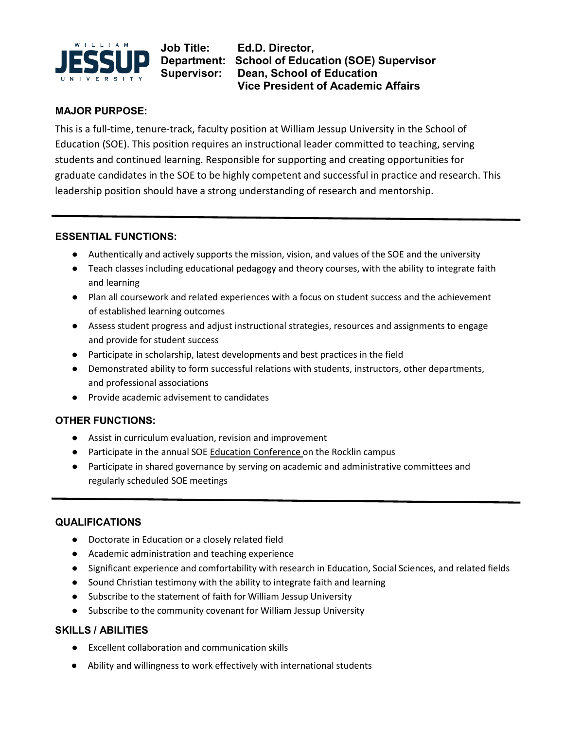

**Job Title: Ed.D. Director, Department: School of Education (SOE) Supervisor Supervisor: Dean, School of Education Vice President of Academic Affairs**

## **MAJOR PURPOSE:**

This is a full-time, tenure-track, faculty position at William Jessup University in the School of Education (SOE). This position requires an instructional leader committed to teaching, serving students and continued learning. Responsible for supporting and creating opportunities for graduate candidates in the SOE to be highly competent and successful in practice and research. This leadership position should have a strong understanding of research and mentorship.

#### **ESSENTIAL FUNCTIONS:**

- Authentically and actively supports the mission, vision, and values of the SOE and the university
- Teach classes including educational pedagogy and theory courses, with the ability to integrate faith and learning
- Plan all coursework and related experiences with a focus on student success and the achievement of established learning outcomes
- Assess student progress and adjust instructional strategies, resources and assignments to engage and provide for student success
- Participate in scholarship, latest developments and best practices in the field
- Demonstrated ability to form successful relations with students, instructors, other departments, and professional associations
- Provide academic advisement to candidates

# **OTHER FUNCTIONS:**

- Assist in curriculum evaluation, revision and improvement
- Participate in the annual SOE Education Conference on the Rocklin campus
- Participate in shared governance by serving on academic and administrative committees and regularly scheduled SOE meetings

# **QUALIFICATIONS**

- Doctorate in Education or a closely related field
- Academic administration and teaching experience
- Significant experience and comfortability with research in Education, Social Sciences, and related fields
- Sound Christian testimony with the ability to integrate faith and learning
- Subscribe to the statement of faith for William Jessup University
- Subscribe to the community covenant for William Jessup University

## **SKILLS / ABILITIES**

- Excellent collaboration and communication skills
- Ability and willingness to work effectively with international students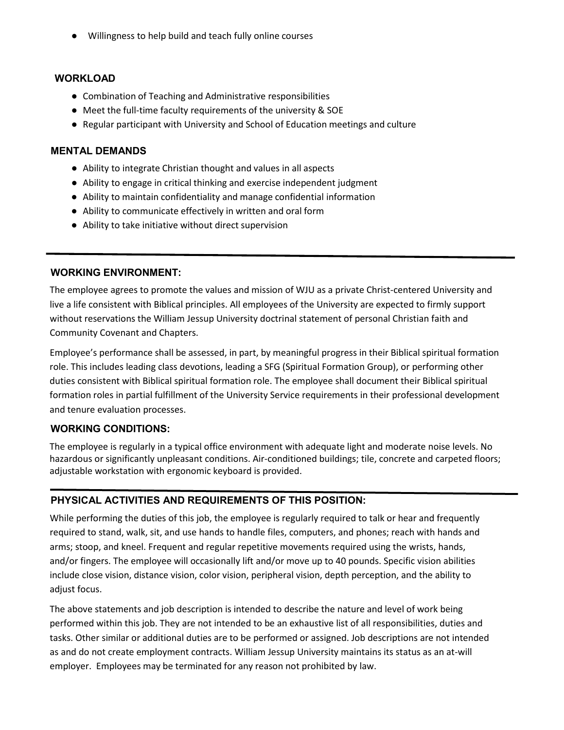● Willingness to help build and teach fully online courses

#### **WORKLOAD**

- Combination of Teaching and Administrative responsibilities
- Meet the full-time faculty requirements of the university & SOE
- Regular participant with University and School of Education meetings and culture

### **MENTAL DEMANDS**

- Ability to integrate Christian thought and values in all aspects
- Ability to engage in critical thinking and exercise independent judgment
- Ability to maintain confidentiality and manage confidential information
- Ability to communicate effectively in written and oral form
- Ability to take initiative without direct supervision

#### **WORKING ENVIRONMENT:**

The employee agrees to promote the values and mission of WJU as a private Christ-centered University and live a life consistent with Biblical principles. All employees of the University are expected to firmly support without reservations the William Jessup University doctrinal statement of personal Christian faith and Community Covenant and Chapters.

Employee's performance shall be assessed, in part, by meaningful progress in their Biblical spiritual formation role. This includes leading class devotions, leading a SFG (Spiritual Formation Group), or performing other duties consistent with Biblical spiritual formation role. The employee shall document their Biblical spiritual formation roles in partial fulfillment of the University Service requirements in their professional development and tenure evaluation processes.

## **WORKING CONDITIONS:**

The employee is regularly in a typical office environment with adequate light and moderate noise levels. No hazardous or significantly unpleasant conditions. Air-conditioned buildings; tile, concrete and carpeted floors; adjustable workstation with ergonomic keyboard is provided.

## **PHYSICAL ACTIVITIES AND REQUIREMENTS OF THIS POSITION:**

While performing the duties of this job, the employee is regularly required to talk or hear and frequently required to stand, walk, sit, and use hands to handle files, computers, and phones; reach with hands and arms; stoop, and kneel. Frequent and regular repetitive movements required using the wrists, hands, and/or fingers. The employee will occasionally lift and/or move up to 40 pounds. Specific vision abilities include close vision, distance vision, color vision, peripheral vision, depth perception, and the ability to adjust focus.

The above statements and job description is intended to describe the nature and level of work being performed within this job. They are not intended to be an exhaustive list of all responsibilities, duties and tasks. Other similar or additional duties are to be performed or assigned. Job descriptions are not intended as and do not create employment contracts. William Jessup University maintains its status as an at-will employer. Employees may be terminated for any reason not prohibited by law.